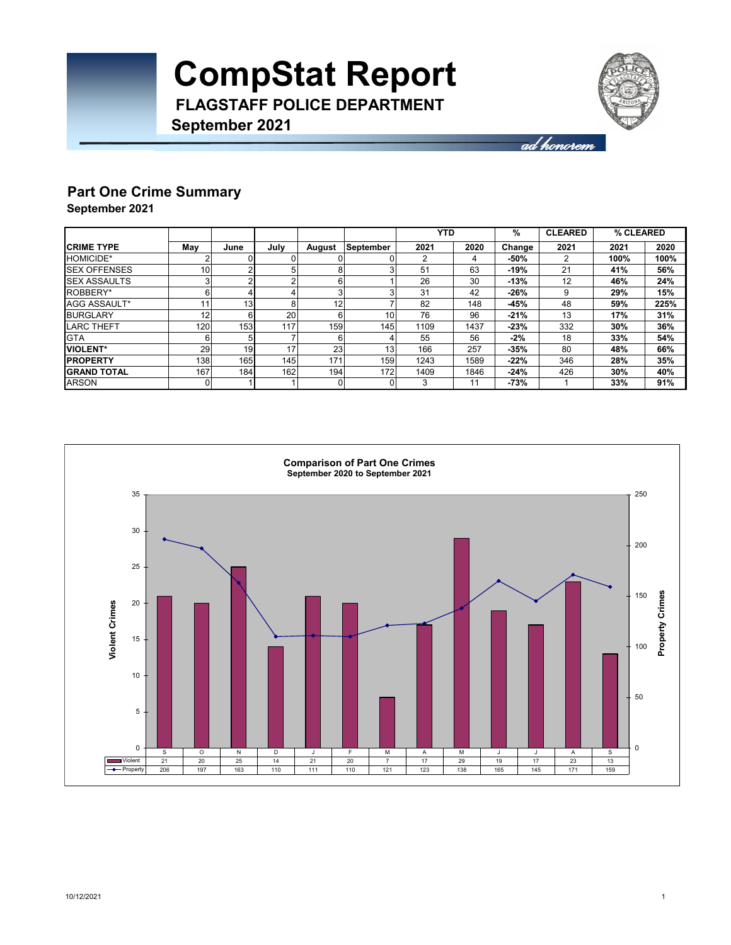

ad honorem

### **Part One Crime Summary**

**September 2021**

**September 2021**

|                      |     |      |      |        |                 | <b>YTD</b> |      | %      | <b>CLEARED</b> | % CLEARED |      |
|----------------------|-----|------|------|--------|-----------------|------------|------|--------|----------------|-----------|------|
| <b>CRIME TYPE</b>    | Mav | June | Julv | August | September       | 2021       | 2020 | Change | 2021           | 2021      | 2020 |
| <b>HOMICIDE*</b>     |     | 0    |      |        |                 |            | 4    | -50%   | 2              | 100%      | 100% |
| <b>ISEX OFFENSES</b> | 10  | 2    | 5    |        | 3               | 51         | 63   | $-19%$ | 21             | 41%       | 56%  |
| <b>SEX ASSAULTS</b>  |     | 2    | ີ    |        |                 | 26         | 30   | $-13%$ | 12             | 46%       | 24%  |
| ROBBERY*             | 6   | 4    |      |        | 3               | 31         | 42   | $-26%$ | 9              | 29%       | 15%  |
| AGG ASSAULT*         | 11  | 13   | 8    | 12     |                 | 82         | 148  | $-45%$ | 48             | 59%       | 225% |
| <b>BURGLARY</b>      | 12  | 6    | 20   | ĥ      | 10 <sup>1</sup> | 76         | 96   | $-21%$ | 13             | 17%       | 31%  |
| <b>LARC THEFT</b>    | 120 | 153  | 117  | 159    | 145             | 1109       | 1437 | $-23%$ | 332            | 30%       | 36%  |
| <b>GTA</b>           | 6   | 5    |      | R      |                 | 55         | 56   | -2%    | 18             | 33%       | 54%  |
| <b>VIOLENT*</b>      | 29  | 19   | 17   | 23     | 13              | 166        | 257  | $-35%$ | 80             | 48%       | 66%  |
| <b>PROPERTY</b>      | 138 | 165  | 145  | 171    | 159             | 1243       | 1589 | $-22%$ | 346            | 28%       | 35%  |
| <b>IGRAND TOTAL</b>  | 167 | 184  | 162  | 194    | 172             | 1409       | 1846 | $-24%$ | 426            | 30%       | 40%  |
| <b>ARSON</b>         |     |      |      |        | 01              | 3          | 11   | -73%   |                | 33%       | 91%  |

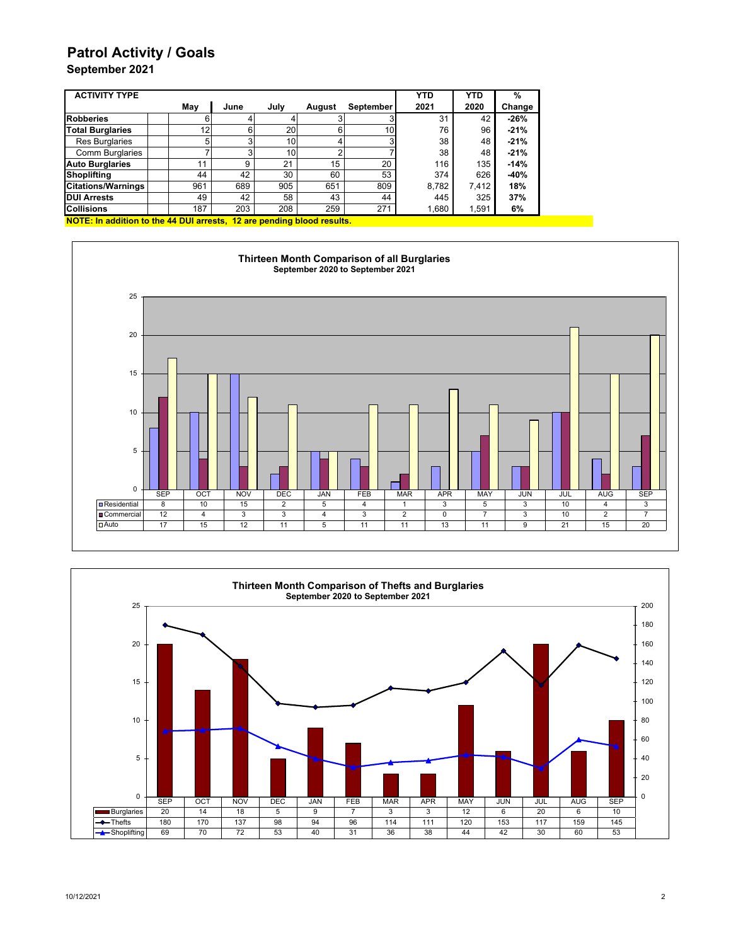## **Patrol Activity / Goals**

### **September 2021**

| <b>ACTIVITY TYPE</b>      |     |      |                 |        |                  | <b>YTD</b> | <b>YTD</b> | %      |
|---------------------------|-----|------|-----------------|--------|------------------|------------|------------|--------|
|                           | May | June | July            | August | <b>September</b> | 2021       | 2020       | Change |
| <b>Robberies</b>          | 6   |      |                 |        |                  | 31         | 42         | $-26%$ |
| <b>Total Burglaries</b>   | 12  |      | 20              |        | 10               | 76         | 96         | $-21%$ |
| <b>Res Burglaries</b>     | 5   |      | 10              |        |                  | 38         | 48         | $-21%$ |
| <b>Comm Burglaries</b>    |     |      | 10 <sub>1</sub> |        |                  | 38         | 48         | $-21%$ |
| <b>Auto Burglaries</b>    |     | 9    | 21              | 15     | 20               | 116        | 135        | $-14%$ |
| Shoplifting               | 44  | 42   | 30              | 60     | 53               | 374        | 626        | $-40%$ |
| <b>Citations/Warnings</b> | 961 | 689  | 905             | 651    | 809              | 8,782      | 7.412      | 18%    |
| <b>DUI Arrests</b>        | 49  | 42   | 58              | 43     | 44               | 445        | 325        | 37%    |
| <b>Collisions</b>         | 187 | 203  | 208             | 259    | 271              | 1,680      | 1,591      | 6%     |

**NOTE: In addition to the 44 DUI arrests, 12 are pending blood results.**



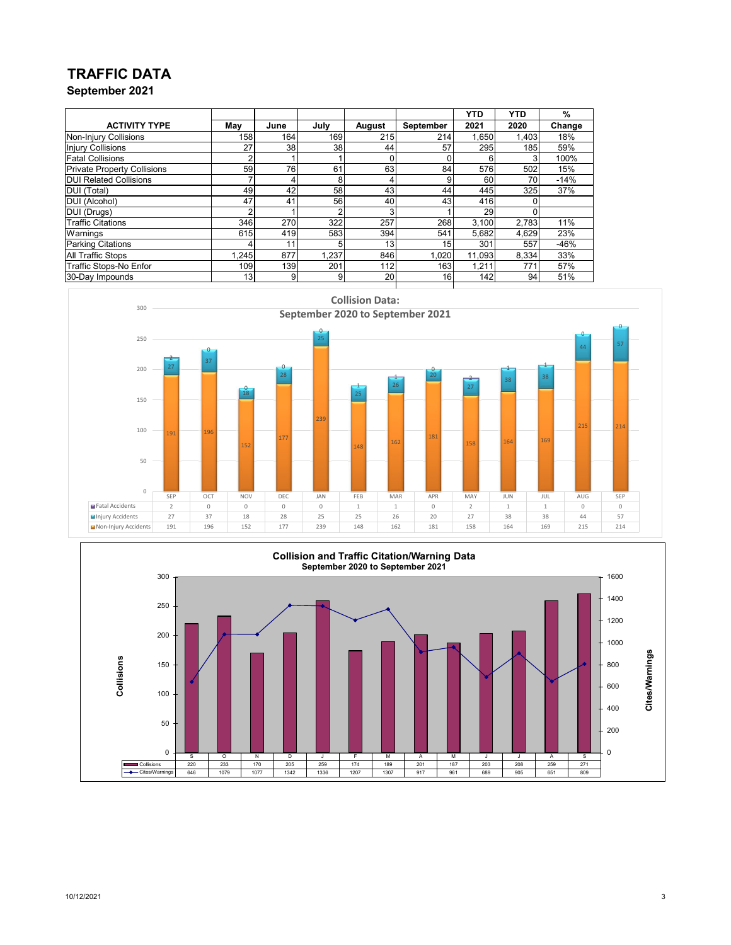## **TRAFFIC DATA**

**September 2021**

|                                    |       |                 |       |                 |                 | <b>YTD</b> | <b>YTD</b> | %      |
|------------------------------------|-------|-----------------|-------|-----------------|-----------------|------------|------------|--------|
| <b>ACTIVITY TYPE</b>               | May   | June            | July  | August          | September       | 2021       | 2020       | Change |
| Non-Injury Collisions              | 158   | 164             | 169   | 215             | 214             | 1,650      | 1,403      | 18%    |
| <b>Injury Collisions</b>           | 27    | 38              | 38    | 44              | 57              | 295        | 185        | 59%    |
| <b>Fatal Collisions</b>            |       |                 |       |                 |                 | 6          |            | 100%   |
| <b>Private Property Collisions</b> | 59    | 76              | 61    | 63              | 84              | 576        | 502        | 15%    |
| <b>DUI Related Collisions</b>      |       | 4               | 8     |                 | 9               | 60         | 70         | $-14%$ |
| <b>DUI</b> (Total)                 | 49    | 42              | 58    | 43              | 44              | 445        | 325        | 37%    |
| <b>DUI (Alcohol)</b>               | 47    | 41              | 56    | 40              | 43 <sub>l</sub> | 416        |            |        |
| DUI (Drugs)                        | າ     |                 | 2     | 3               |                 | 29         |            |        |
| <b>Traffic Citations</b>           | 346   | 270             | 322   | 257             | 268             | 3,100      | 2.783      | 11%    |
| Warnings                           | 615   | 419             | 583   | 394             | 541             | 5,682      | 4,629      | 23%    |
| <b>Parking Citations</b>           |       | 11 <sub>1</sub> | 5     | 13 <sub>1</sub> | 15              | 301        | 557        | $-46%$ |
| <b>All Traffic Stops</b>           | 1.245 | 877             | 1.237 | 846             | 1,020           | 11.093     | 8,334      | 33%    |
| Traffic Stops-No Enfor             | 109   | 139             | 201   | 112             | 163             | 1,211      | 771        | 57%    |
| 30-Day Impounds                    | 13    | 9               | 9     | 20              | 16              | 142        | 94         | 51%    |



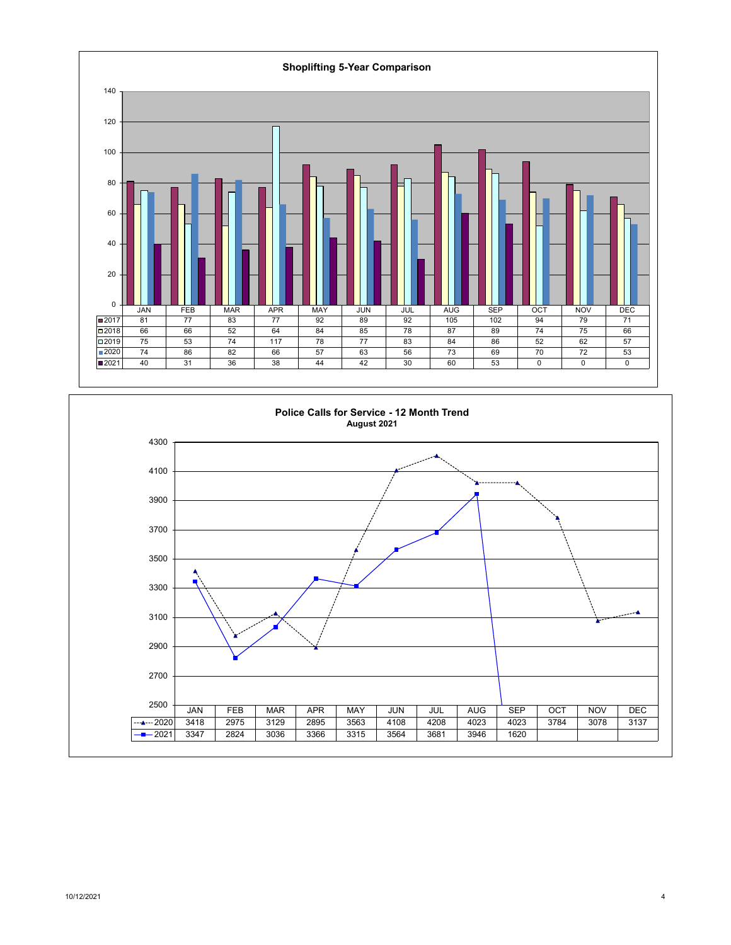

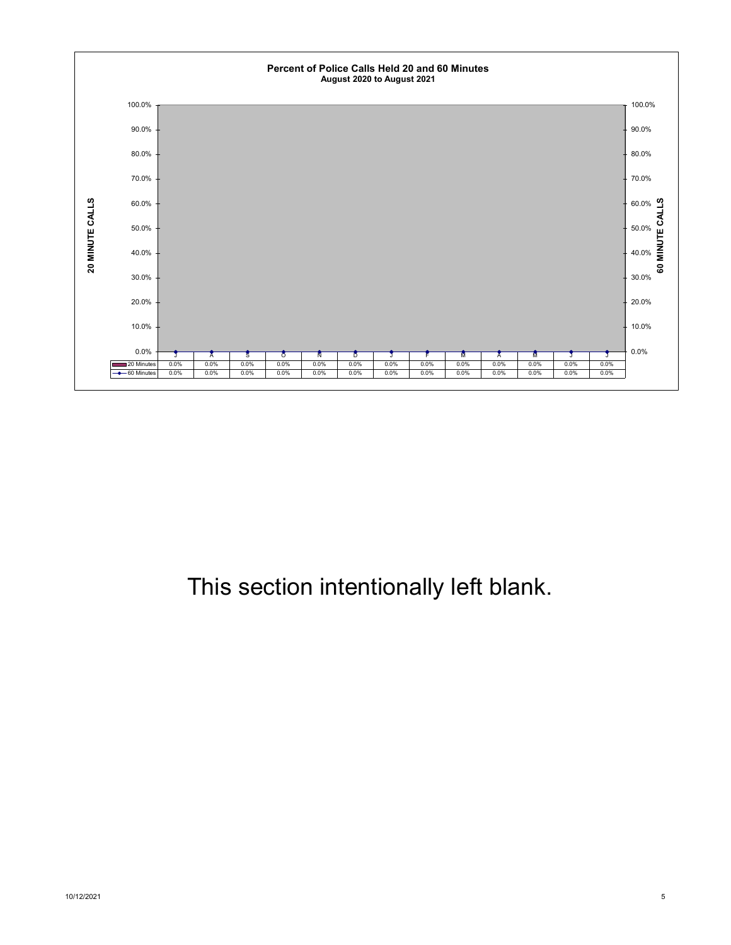

## This section intentionally left blank.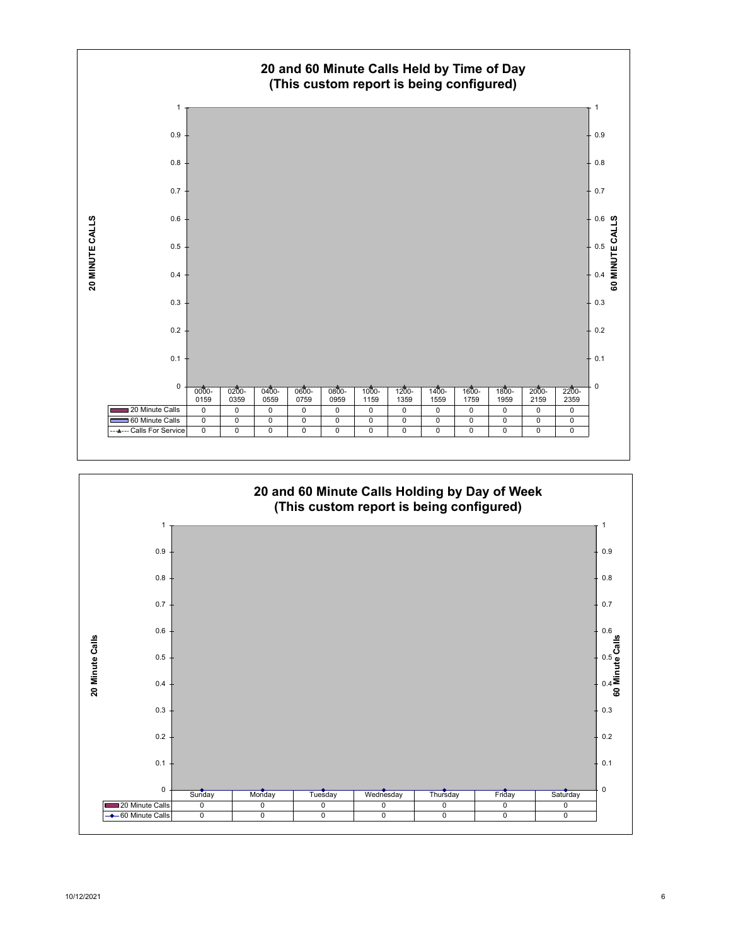

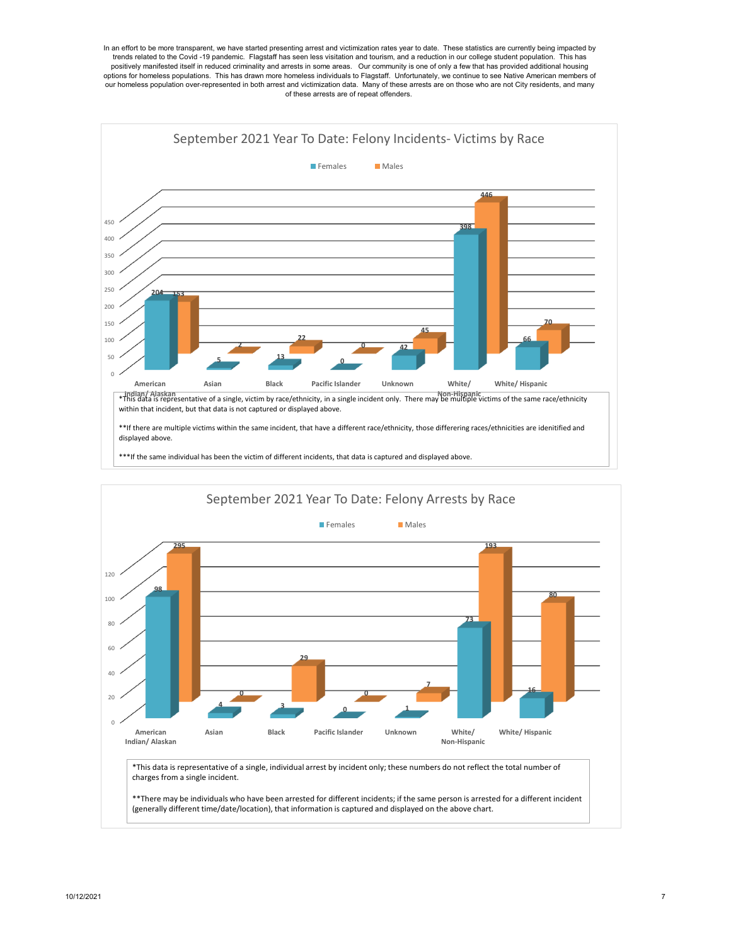In an effort to be more transparent, we have started presenting arrest and victimization rates year to date. These statistics are currently being impacted by trends related to the Covid -19 pandemic. Flagstaff has seen less visitation and tourism, and a reduction in our college student population. This has positively manifested itself in reduced criminality and arrests in some areas. Our community is one of only a few that has provided additional housing options for homeless populations. This has drawn more homeless individuals to Flagstaff. Unfortunately, we continue to see Native American members of our homeless population over-represented in both arrest and victimization data. Many of these arrests are on those who are not City residents, and many of these arrests are of repeat offenders.



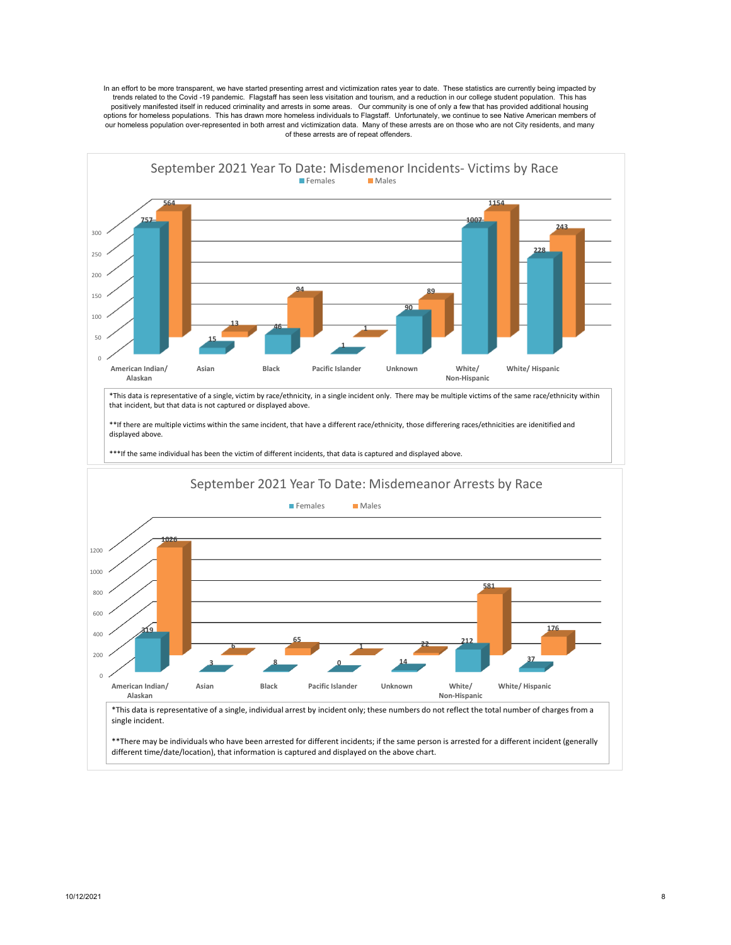In an effort to be more transparent, we have started presenting arrest and victimization rates year to date. These statistics are currently being impacted by trends related to the Covid -19 pandemic. Flagstaff has seen less visitation and tourism, and a reduction in our college student population. This has positively manifested itself in reduced criminality and arrests in some areas. Our community is one of only a few that has provided additional housing options for homeless populations. This has drawn more homeless individuals to Flagstaff. Unfortunately, we continue to see Native American members of our homeless population over-represented in both arrest and victimization data. Many of these arrests are on those who are not City residents, and many of these arrests are of repeat offenders.



different time/date/location), that information is captured and displayed on the above chart.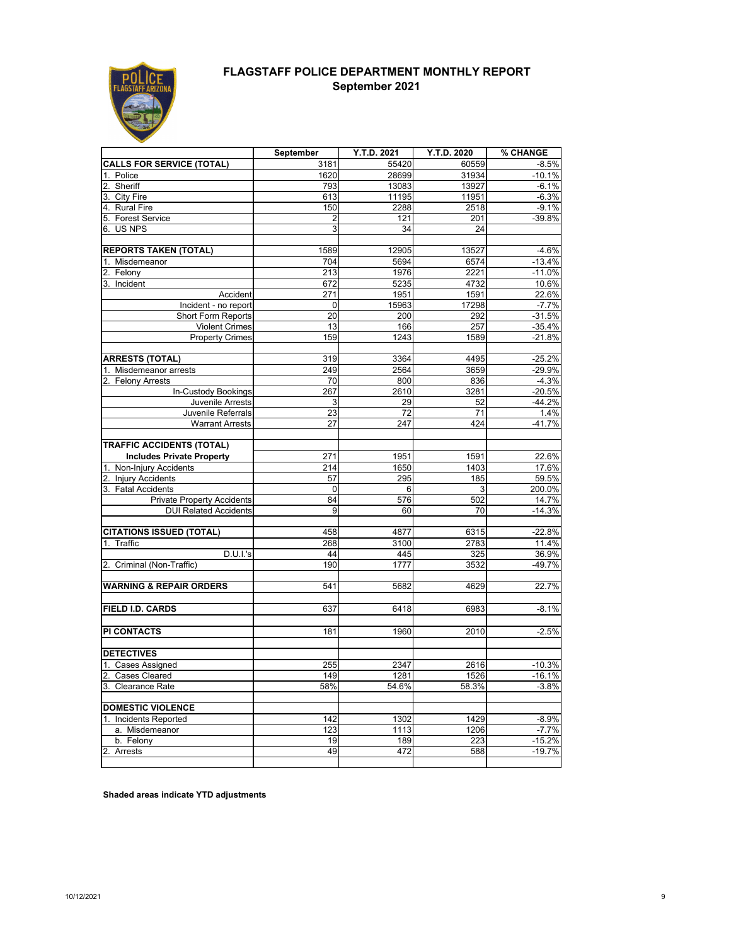

### **FLAGSTAFF POLICE DEPARTMENT MONTHLY REPORT September 2021**

|                                    | September       | Y.T.D. 2021     | Y.T.D. 2020     | % CHANGE |
|------------------------------------|-----------------|-----------------|-----------------|----------|
| <b>CALLS FOR SERVICE (TOTAL)</b>   | 3181            | 55420           | 60559           | $-8.5%$  |
| Police                             | 1620            | 28699           | 31934           | $-10.1%$ |
| Sheriff<br>2.                      | 793             | 13083           | 13927           | $-6.1%$  |
| 3. City Fire                       | 613             | 11195           | 11951           | $-6.3%$  |
| 4. Rural Fire                      | 150             | 2288            | 2518            | $-9.1%$  |
| 5. Forest Service                  | 2               | 121             | 201             | $-39.8%$ |
| 6. US NPS                          | 3               | 34              | 24              |          |
|                                    |                 |                 |                 |          |
| <b>REPORTS TAKEN (TOTAL)</b>       | 1589            | 12905           | 13527           | $-4.6%$  |
| 1. Misdemeanor                     | 704             | 5694            | 6574            | $-13.4%$ |
| Felony                             | 213             | 1976            | 2221            | $-11.0%$ |
| 3. Incident                        | 672             | 5235            | 4732            | 10.6%    |
| Accident                           | 271             | 1951            | 1591            | 22.6%    |
| Incident - no report               | $\mathbf 0$     | 15963           | 17298           | $-7.7%$  |
| Short Form Reports                 | 20              | 200             | 292             | $-31.5%$ |
| <b>Violent Crimes</b>              | 13              | 166             | 257             | $-35.4%$ |
| <b>Property Crimes</b>             | 159             | 1243            | 1589            | $-21.8%$ |
|                                    |                 |                 |                 |          |
| <b>ARRESTS (TOTAL)</b>             | 319             | 3364            | 4495            | $-25.2%$ |
| 1. Misdemeanor arrests             | 249             | 2564            | 3659            | $-29.9%$ |
| <b>Felony Arrests</b><br>$2_{.}$   | 70              | 800             | 836             | $-4.3%$  |
| In-Custody Bookings                | 267             | 2610            | 3281            | $-20.5%$ |
| Juvenile Arrests                   | 3               | 29              | 52              | $-44.2%$ |
| Juvenile Referrals                 | $\overline{23}$ | $\overline{72}$ | $\overline{71}$ | 1.4%     |
| <b>Warrant Arrests</b>             | 27              | 247             | 424             | $-41.7%$ |
|                                    |                 |                 |                 |          |
| <b>TRAFFIC ACCIDENTS (TOTAL)</b>   |                 |                 |                 |          |
| <b>Includes Private Property</b>   | 271             | 1951            | 1591            | 22.6%    |
| Non-Injury Accidents               | 214             | 1650            | 1403            | 17.6%    |
| 2. Injury Accidents                | 57              | 295             | 185             | 59.5%    |
| 3. Fatal Accidents                 | $\overline{0}$  | 6               | 3               | 200.0%   |
| Private Property Accidents         | 84              | 576             | 502             | 14.7%    |
| <b>DUI Related Accidents</b>       | 9               | 60              | 70              | $-14.3%$ |
| <b>CITATIONS ISSUED (TOTAL)</b>    | 458             | 4877            | 6315            | $-22.8%$ |
| Traffic<br>1 <sub>1</sub>          | 268             | 3100            | 2783            | 11.4%    |
| D.U.I.'s                           | 44              | 445             | 325             | 36.9%    |
| Criminal (Non-Traffic)             | 190             | 1777            | 3532            | $-49.7%$ |
|                                    |                 |                 |                 |          |
| <b>WARNING &amp; REPAIR ORDERS</b> | 541             | 5682            | 4629            | 22.7%    |
|                                    |                 |                 |                 |          |
| <b>FIELD I.D. CARDS</b>            | 637             | 6418            | 6983            | $-8.1%$  |
|                                    |                 |                 |                 |          |
| <b>PI CONTACTS</b>                 | 181             | 1960            | 2010            | $-2.5%$  |
|                                    |                 |                 |                 |          |
| <b>DETECTIVES</b>                  |                 |                 |                 |          |
| 1. Cases Assigned                  | 255             | 2347            | 2616            | $-10.3%$ |
| <b>Cases Cleared</b>               | 149             | 1281            | 1526            | $-16.1%$ |
| 3. Clearance Rate                  | 58%             | 54.6%           | 58.3%           | $-3.8%$  |
|                                    |                 |                 |                 |          |
| <b>DOMESTIC VIOLENCE</b>           |                 |                 |                 |          |
| 1. Incidents Reported              | 142             | 1302            | 1429            | $-8.9%$  |
| a. Misdemeanor                     | 123             | 1113            | 1206            | $-7.7%$  |
| b. Felony                          | 19              | 189             | 223             | $-15.2%$ |
| $\overline{2}$<br>Arrests          | 49              | 472             | 588             | $-19.7%$ |
|                                    |                 |                 |                 |          |

**Shaded areas indicate YTD adjustments**